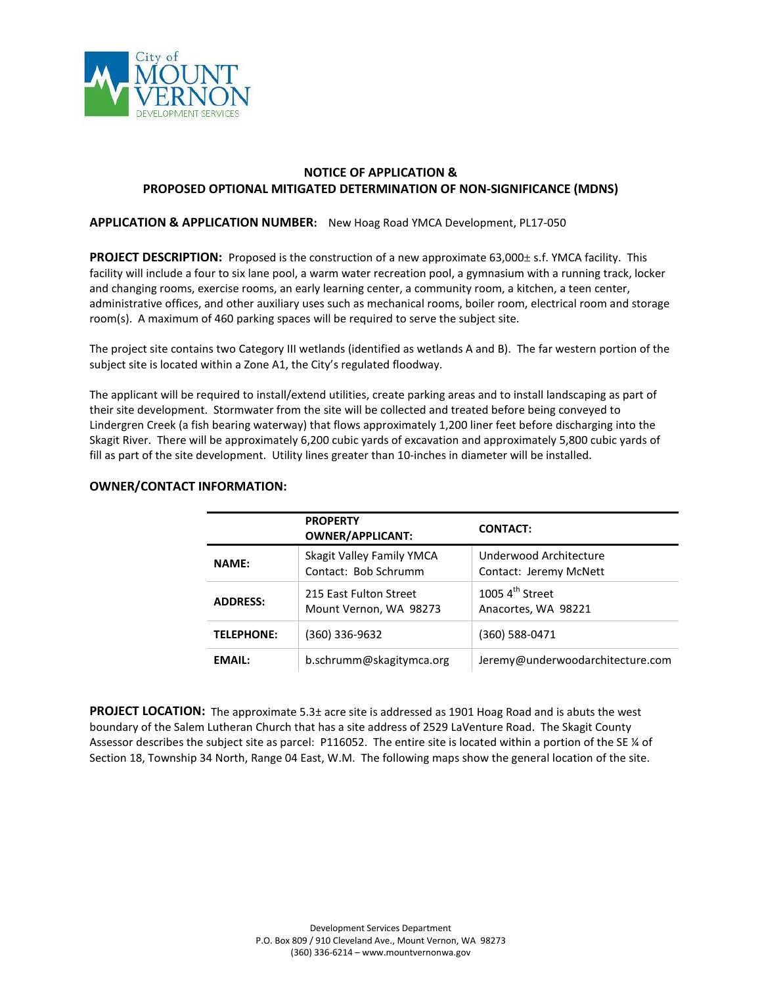

# **NOTICE OF APPLICATION & PROPOSED OPTIONAL MITIGATED DETERMINATION OF NON-SIGNIFICANCE (MDNS)**

## **APPLICATION & APPLICATION NUMBER:** New Hoag Road YMCA Development, PL17-050

**PROJECT DESCRIPTION:** Proposed is the construction of a new approximate 63,000± s.f. YMCA facility. This facility will include a four to six lane pool, a warm water recreation pool, a gymnasium with a running track, locker and changing rooms, exercise rooms, an early learning center, a community room, a kitchen, a teen center, administrative offices, and other auxiliary uses such as mechanical rooms, boiler room, electrical room and storage room(s). A maximum of 460 parking spaces will be required to serve the subject site.

The project site contains two Category III wetlands (identified as wetlands A and B). The far western portion of the subject site is located within a Zone A1, the City's regulated floodway.

The applicant will be required to install/extend utilities, create parking areas and to install landscaping as part of their site development. Stormwater from the site will be collected and treated before being conveyed to Lindergren Creek (a fish bearing waterway) that flows approximately 1,200 liner feet before discharging into the Skagit River. There will be approximately 6,200 cubic yards of excavation and approximately 5,800 cubic yards of fill as part of the site development. Utility lines greater than 10-inches in diameter will be installed.

#### **PROPERTY OWNER/APPLICANT: CONTACT: NAME:** Skagit Valley Family YMCA Contact: Bob Schrumm Underwood Architecture Contact: Jeremy McNett **ADDRESS:** 215 East Fulton Street Mount Vernon, WA 98273 1005 $4<sup>th</sup>$  Street Anacortes, WA 98221 **TELEPHONE:** (360) 336-9632 (360) 588-0471 **EMAIL:** b.schrumm@skagitymca.org Jeremy@underwoodarchitecture.com

# **OWNER/CONTACT INFORMATION:**

**PROJECT LOCATION:** The approximate 5.3± acre site is addressed as 1901 Hoag Road and is abuts the west boundary of the Salem Lutheran Church that has a site address of 2529 LaVenture Road. The Skagit County Assessor describes the subject site as parcel: P116052. The entire site is located within a portion of the SE ¼ of Section 18, Township 34 North, Range 04 East, W.M. The following maps show the general location of the site.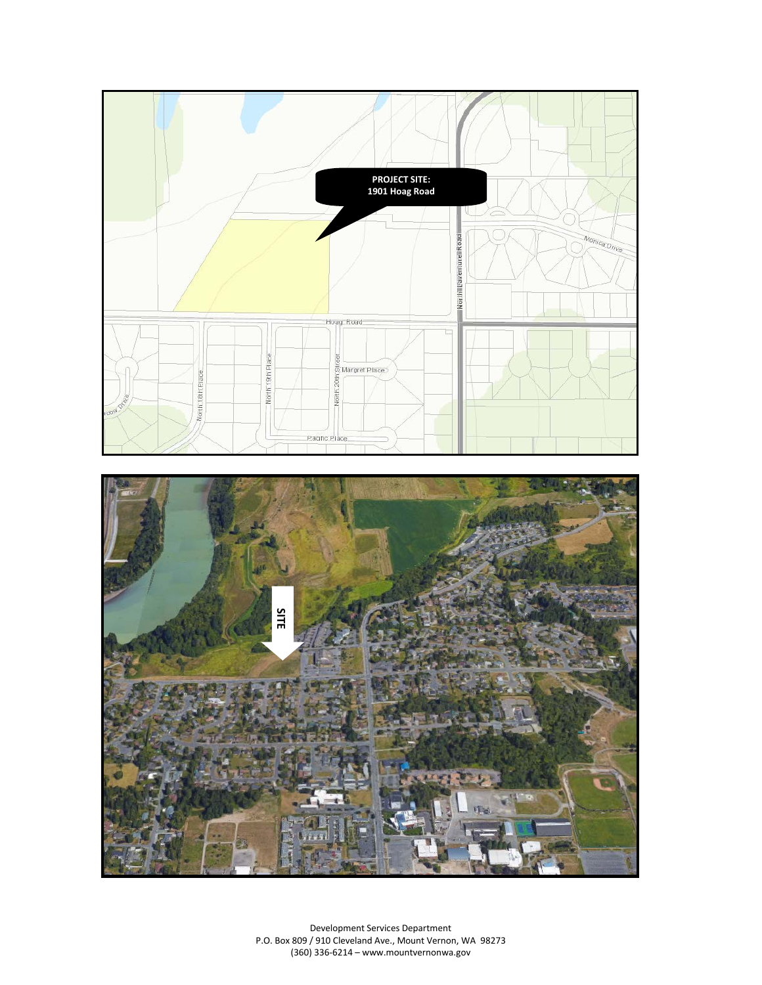



Development Services Department P.O. Box 809 / 910 Cleveland Ave., Mount Vernon, WA 98273 (360) 336-6214 – www.mountvernonwa.gov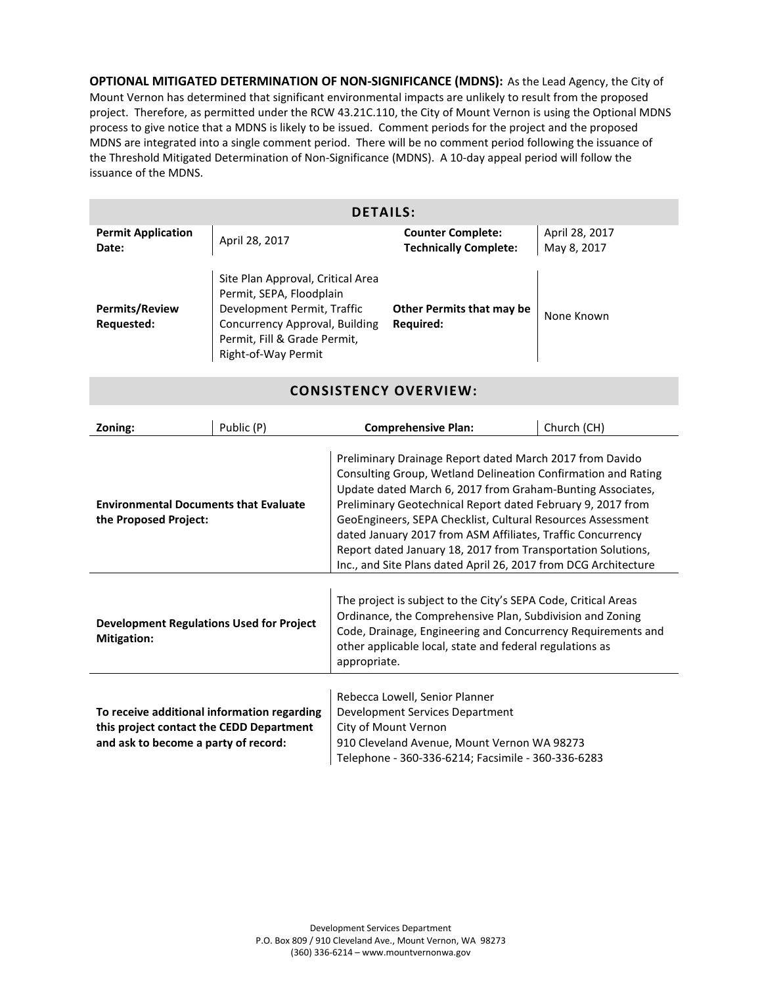**OPTIONAL MITIGATED DETERMINATION OF NON-SIGNIFICANCE (MDNS):** As the Lead Agency, the City of Mount Vernon has determined that significant environmental impacts are unlikely to result from the proposed project. Therefore, as permitted under the RCW 43.21C.110, the City of Mount Vernon is using the Optional MDNS process to give notice that a MDNS is likely to be issued. Comment periods for the project and the proposed MDNS are integrated into a single comment period. There will be no comment period following the issuance of the Threshold Mitigated Determination of Non-Significance (MDNS). A 10-day appeal period will follow the issuance of the MDNS.

| <b>DETAILS:</b>                     |                                                                                                                                                                                       |                                                          |                               |  |  |
|-------------------------------------|---------------------------------------------------------------------------------------------------------------------------------------------------------------------------------------|----------------------------------------------------------|-------------------------------|--|--|
| <b>Permit Application</b><br>Date:  | April 28, 2017                                                                                                                                                                        | <b>Counter Complete:</b><br><b>Technically Complete:</b> | April 28, 2017<br>May 8, 2017 |  |  |
| <b>Permits/Review</b><br>Requested: | Site Plan Approval, Critical Area<br>Permit, SEPA, Floodplain<br>Development Permit, Traffic<br>Concurrency Approval, Building<br>Permit, Fill & Grade Permit,<br>Right-of-Way Permit | Other Permits that may be<br><b>Required:</b>            | None Known                    |  |  |

**CONSISTENCY OVERVIEW:**

| Zoning:                                                                                                                         | Public (P) | <b>Comprehensive Plan:</b>                                                                                                                                                                                                                                                                                                                                                                                                                                                                                              | Church (CH) |  |
|---------------------------------------------------------------------------------------------------------------------------------|------------|-------------------------------------------------------------------------------------------------------------------------------------------------------------------------------------------------------------------------------------------------------------------------------------------------------------------------------------------------------------------------------------------------------------------------------------------------------------------------------------------------------------------------|-------------|--|
| <b>Environmental Documents that Evaluate</b><br>the Proposed Project:                                                           |            | Preliminary Drainage Report dated March 2017 from Davido<br>Consulting Group, Wetland Delineation Confirmation and Rating<br>Update dated March 6, 2017 from Graham-Bunting Associates,<br>Preliminary Geotechnical Report dated February 9, 2017 from<br>GeoEngineers, SEPA Checklist, Cultural Resources Assessment<br>dated January 2017 from ASM Affiliates, Traffic Concurrency<br>Report dated January 18, 2017 from Transportation Solutions,<br>Inc., and Site Plans dated April 26, 2017 from DCG Architecture |             |  |
| <b>Development Regulations Used for Project</b><br>Mitigation:                                                                  |            | The project is subject to the City's SEPA Code, Critical Areas<br>Ordinance, the Comprehensive Plan, Subdivision and Zoning<br>Code, Drainage, Engineering and Concurrency Requirements and<br>other applicable local, state and federal regulations as<br>appropriate.                                                                                                                                                                                                                                                 |             |  |
| To receive additional information regarding<br>this project contact the CEDD Department<br>and ask to become a party of record: |            | Rebecca Lowell, Senior Planner<br>Development Services Department<br>City of Mount Vernon<br>910 Cleveland Avenue, Mount Vernon WA 98273<br>Telephone - 360-336-6214; Facsimile - 360-336-6283                                                                                                                                                                                                                                                                                                                          |             |  |